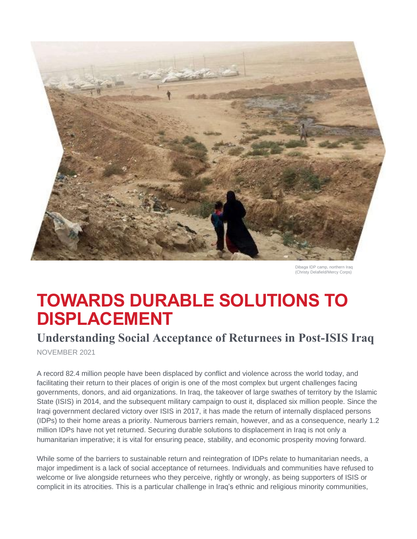

Dibaga IDP camp, northern Iraq (Christy Delafield/Mercy Corps)

# **TOWARDS DURABLE SOLUTIONS TO DISPLACEMENT**

## **Understanding Social Acceptance of Returnees in Post-ISIS Iraq**

NOVEMBER 2021

A record 82.4 million people have been displaced by conflict and violence across the world today, and facilitating their return to their places of origin is one of the most complex but urgent challenges facing governments, donors, and aid organizations. In Iraq, the takeover of large swathes of territory by the Islamic State (ISIS) in 2014, and the subsequent military campaign to oust it, displaced six million people. Since the Iraqi government declared victory over ISIS in 2017, it has made the return of internally displaced persons (IDPs) to their home areas a priority. Numerous barriers remain, however, and as a consequence, nearly 1.2 million IDPs have not yet returned. Securing durable solutions to displacement in Iraq is not only a humanitarian imperative; it is vital for ensuring peace, stability, and economic prosperity moving forward.

While some of the barriers to sustainable return and reintegration of IDPs relate to humanitarian needs, a major impediment is a lack of social acceptance of returnees. Individuals and communities have refused to welcome or live alongside returnees who they perceive, rightly or wrongly, as being supporters of ISIS or complicit in its atrocities. This is a particular challenge in Iraq's ethnic and religious minority communities,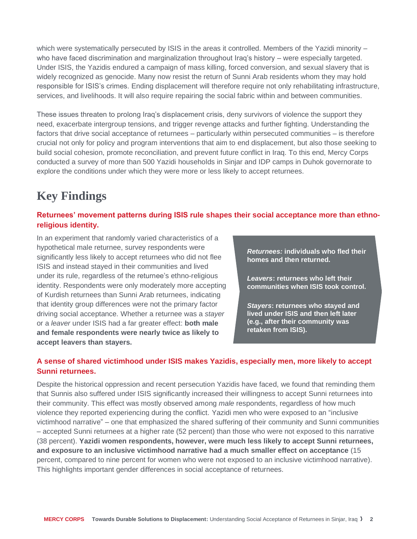which were systematically persecuted by ISIS in the areas it controlled. Members of the Yazidi minority – who have faced discrimination and marginalization throughout Iraq's history – were especially targeted. Under ISIS, the Yazidis endured a campaign of mass killing, forced conversion, and sexual slavery that is widely recognized as genocide. Many now resist the return of Sunni Arab residents whom they may hold responsible for ISIS's crimes. Ending displacement will therefore require not only rehabilitating infrastructure, services, and livelihoods. It will also require repairing the social fabric within and between communities.

These issues threaten to prolong Iraq's displacement crisis, deny survivors of violence the support they need, exacerbate intergroup tensions, and trigger revenge attacks and further fighting. Understanding the factors that drive social acceptance of returnees – particularly within persecuted communities – is therefore crucial not only for policy and program interventions that aim to end displacement, but also those seeking to build social cohesion, promote reconciliation, and prevent future conflict in Iraq. To this end, Mercy Corps conducted a survey of more than 500 Yazidi households in Sinjar and IDP camps in Duhok governorate to explore the conditions under which they were more or less likely to accept returnees.

## **Key Findings**

#### **Returnees' movement patterns during ISIS rule shapes their social acceptance more than ethnoreligious identity.**

In an experiment that randomly varied characteristics of a hypothetical male returnee, survey respondents were significantly less likely to accept returnees who did not flee ISIS and instead stayed in their communities and lived under its rule, regardless of the returnee's ethno-religious identity. Respondents were only moderately more accepting of Kurdish returnees than Sunni Arab returnees, indicating that identity group differences were not the primary factor driving social acceptance. Whether a returnee was a *stayer*  or a *leaver* under ISIS had a far greater effect: **both male and female respondents were nearly twice as likely to accept leavers than stayers.**

*Returnees:* **individuals who fled their homes and then returned.**

*Leavers***: returnees who left their communities when ISIS took control.**

*Stayers***: returnees who stayed and lived under ISIS and then left later (e.g., after their community was retaken from ISIS).**

#### **A sense of shared victimhood under ISIS makes Yazidis, especially men, more likely to accept Sunni returnees.**

Despite the historical oppression and recent persecution Yazidis have faced, we found that reminding them that Sunnis also suffered under ISIS significantly increased their willingness to accept Sunni returnees into their community. This effect was mostly observed among *male* respondents, regardless of how much violence they reported experiencing during the conflict. Yazidi men who were exposed to an "inclusive victimhood narrative" – one that emphasized the shared suffering of their community and Sunni communities – accepted Sunni returnees at a higher rate (52 percent) than those who were not exposed to this narrative (38 percent). **Yazidi women respondents, however, were much less likely to accept Sunni returnees, and exposure to an inclusive victimhood narrative had a much smaller effect on acceptance** (15 percent, compared to nine percent for women who were not exposed to an inclusive victimhood narrative). This highlights important gender differences in social acceptance of returnees.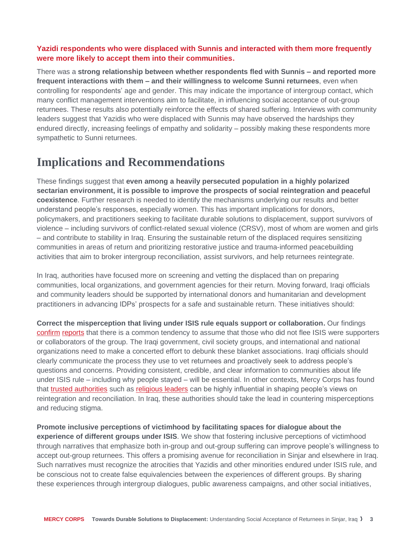#### **Yazidi respondents who were displaced with Sunnis and interacted with them more frequently were more likely to accept them into their communities.**

There was a **strong relationship between whether respondents fled with Sunnis – and reported more frequent interactions with them – and their willingness to welcome Sunni returnees**, even when controlling for respondents' age and gender. This may indicate the importance of intergroup contact, which many conflict management interventions aim to facilitate, in influencing social acceptance of out-group returnees. These results also potentially reinforce the effects of shared suffering. Interviews with community leaders suggest that Yazidis who were displaced with Sunnis may have observed the hardships they endured directly, increasing feelings of empathy and solidarity – possibly making these respondents more sympathetic to Sunni returnees.

## **Implications and Recommendations**

These findings suggest that **even among a heavily persecuted population in a highly polarized sectarian environment, it is possible to improve the prospects of social reintegration and peaceful coexistence**. Further research is needed to identify the mechanisms underlying our results and better understand people's responses, especially women. This has important implications for donors, policymakers, and practitioners seeking to facilitate durable solutions to displacement, support survivors of violence – including survivors of conflict-related sexual violence (CRSV), most of whom are women and girls – and contribute to stability in Iraq. Ensuring the sustainable return of the displaced requires sensitizing communities in areas of return and prioritizing restorative justice and trauma-informed peacebuilding activities that aim to broker intergroup reconciliation, assist survivors, and help returnees reintegrate.

In Iraq, authorities have focused more on screening and vetting the displaced than on preparing communities, local organizations, and government agencies for their return. Moving forward, Iraqi officials and community leaders should be supported by international donors and humanitarian and development practitioners in advancing IDPs' prospects for a safe and sustainable return. These initiatives should:

**Correct the misperception that living under ISIS rule equals support or collaboration.** Our findings [confirm](https://www.newyorker.com/magazine/2018/12/24/iraqs-post-isis-campaign-of-revenge) [reports](https://i.unu.edu/media/cpr.unu.edu/attachment/3384/LoPIraq050119.pdf) that there is a common tendency to assume that those who did not flee ISIS were supporters or collaborators of the group. The Iraqi government, civil society groups, and international and national organizations need to make a concerted effort to debunk these blanket associations. Iraqi officials should clearly communicate the process they use to vet returnees and proactively seek to address people's questions and concerns. Providing consistent, credible, and clear information to communities about life under ISIS rule – including why people stayed – will be essential. In other contexts, Mercy Corps has found that [trusted authorities](https://www.pnas.org/content/118/42/e2105570118) such as [religious leaders](https://www.mercycorps.org/es/research-religion/religion-identity-conflict-northern-nigeria) can be highly influential in shaping people's views on reintegration and reconciliation. In Iraq, these authorities should take the lead in countering misperceptions and reducing stigma.

**Promote inclusive perceptions of victimhood by facilitating spaces for dialogue about the experience of different groups under ISIS**. We show that fostering inclusive perceptions of victimhood through narratives that emphasize both in-group and out-group suffering can improve people's willingness to accept out-group returnees. This offers a promising avenue for reconciliation in Sinjar and elsewhere in Iraq. Such narratives must recognize the atrocities that Yazidis and other minorities endured under ISIS rule, and be conscious not to create false equivalencies between the experiences of different groups. By sharing these experiences through intergroup dialogues, public awareness campaigns, and other social initiatives,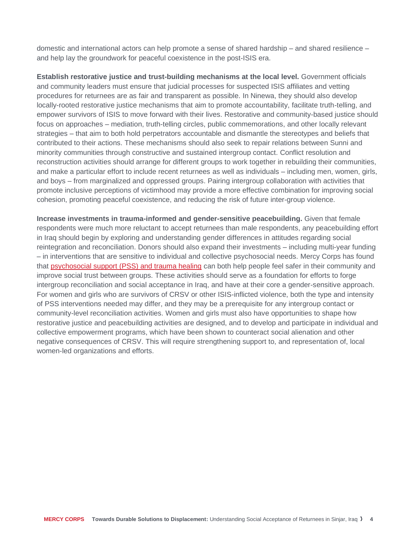domestic and international actors can help promote a sense of shared hardship – and shared resilience – and help lay the groundwork for peaceful coexistence in the post-ISIS era.

**Establish restorative justice and trust-building mechanisms at the local level.** Government officials and community leaders must ensure that judicial processes for suspected ISIS affiliates and vetting procedures for returnees are as fair and transparent as possible. In Ninewa, they should also develop locally-rooted restorative justice mechanisms that aim to promote accountability, facilitate truth-telling, and empower survivors of ISIS to move forward with their lives. Restorative and community-based justice should focus on approaches – mediation, truth-telling circles, public commemorations, and other locally relevant strategies – that aim to both hold perpetrators accountable and dismantle the stereotypes and beliefs that contributed to their actions. These mechanisms should also seek to repair relations between Sunni and minority communities through constructive and sustained intergroup contact. Conflict resolution and reconstruction activities should arrange for different groups to work together in rebuilding their communities, and make a particular effort to include recent returnees as well as individuals – including men, women, girls, and boys – from marginalized and oppressed groups. Pairing intergroup collaboration with activities that promote inclusive perceptions of victimhood may provide a more effective combination for improving social cohesion, promoting peaceful coexistence, and reducing the risk of future inter-group violence.

**Increase investments in trauma-informed and gender-sensitive peacebuilding.** Given that female respondents were much more reluctant to accept returnees than male respondents, any peacebuilding effort in Iraq should begin by exploring and understanding gender differences in attitudes regarding social reintegration and reconciliation. Donors should also expand their investments – including multi-year funding – in interventions that are sensitive to individual and collective psychosocial needs. Mercy Corps has found that [psychosocial support \(PSS\) and trauma healing](https://europe.mercycorps.org/fr/research-resources/adolescent-psychosocial-support) can both help people feel safer in their community and improve social trust between groups. These activities should serve as a foundation for efforts to forge intergroup reconciliation and social acceptance in Iraq, and have at their core a gender-sensitive approach. For women and girls who are survivors of CRSV or other ISIS-inflicted violence, both the type and intensity of PSS interventions needed may differ, and they may be a prerequisite for any intergroup contact or community-level reconciliation activities. Women and girls must also have opportunities to shape how restorative justice and peacebuilding activities are designed, and to develop and participate in individual and collective empowerment programs, which have been shown to counteract social alienation and other negative consequences of CRSV. This will require strengthening support to, and representation of, local women-led organizations and efforts.